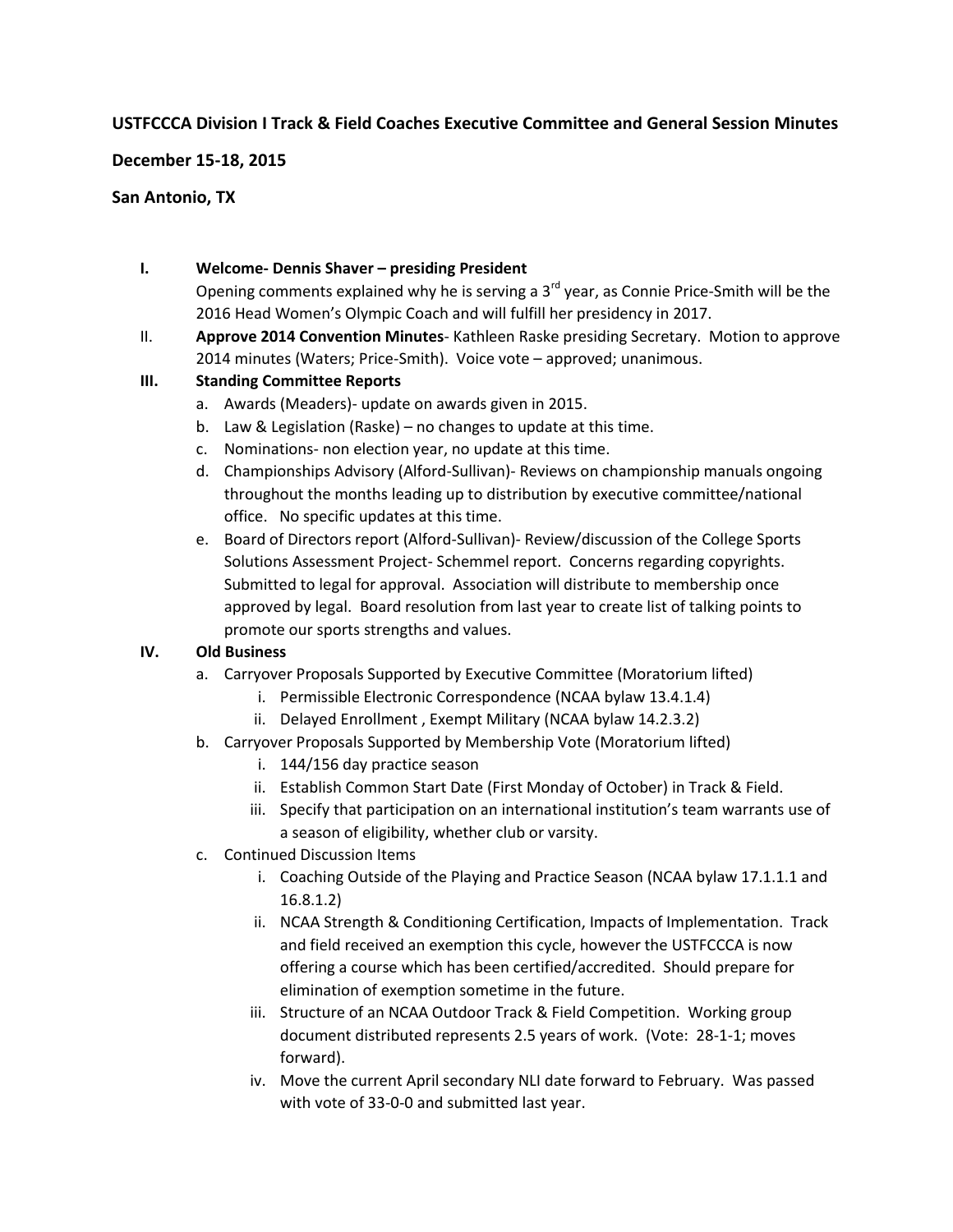# **USTFCCCA Division I Track & Field Coaches Executive Committee and General Session Minutes**

**December 15-18, 2015**

## **San Antonio, TX**

## **I. Welcome- Dennis Shaver – presiding President**

Opening comments explained why he is serving a  $3<sup>rd</sup>$  year, as Connie Price-Smith will be the 2016 Head Women's Olympic Coach and will fulfill her presidency in 2017.

II. **Approve 2014 Convention Minutes**- Kathleen Raske presiding Secretary. Motion to approve 2014 minutes (Waters; Price-Smith). Voice vote – approved; unanimous.

## **III. Standing Committee Reports**

- a. Awards (Meaders)- update on awards given in 2015.
- b. Law & Legislation (Raske) no changes to update at this time.
- c. Nominations- non election year, no update at this time.
- d. Championships Advisory (Alford-Sullivan)- Reviews on championship manuals ongoing throughout the months leading up to distribution by executive committee/national office. No specific updates at this time.
- e. Board of Directors report (Alford-Sullivan)- Review/discussion of the College Sports Solutions Assessment Project- Schemmel report. Concerns regarding copyrights. Submitted to legal for approval. Association will distribute to membership once approved by legal. Board resolution from last year to create list of talking points to promote our sports strengths and values.

#### **IV. Old Business**

- a. Carryover Proposals Supported by Executive Committee (Moratorium lifted)
	- i. Permissible Electronic Correspondence (NCAA bylaw 13.4.1.4)
	- ii. Delayed Enrollment , Exempt Military (NCAA bylaw 14.2.3.2)
- b. Carryover Proposals Supported by Membership Vote (Moratorium lifted)
	- i. 144/156 day practice season
	- ii. Establish Common Start Date (First Monday of October) in Track & Field.
	- iii. Specify that participation on an international institution's team warrants use of a season of eligibility, whether club or varsity.
- c. Continued Discussion Items
	- i. Coaching Outside of the Playing and Practice Season (NCAA bylaw 17.1.1.1 and 16.8.1.2)
	- ii. NCAA Strength & Conditioning Certification, Impacts of Implementation. Track and field received an exemption this cycle, however the USTFCCCA is now offering a course which has been certified/accredited. Should prepare for elimination of exemption sometime in the future.
	- iii. Structure of an NCAA Outdoor Track & Field Competition. Working group document distributed represents 2.5 years of work. (Vote: 28-1-1; moves forward).
	- iv. Move the current April secondary NLI date forward to February. Was passed with vote of 33-0-0 and submitted last year.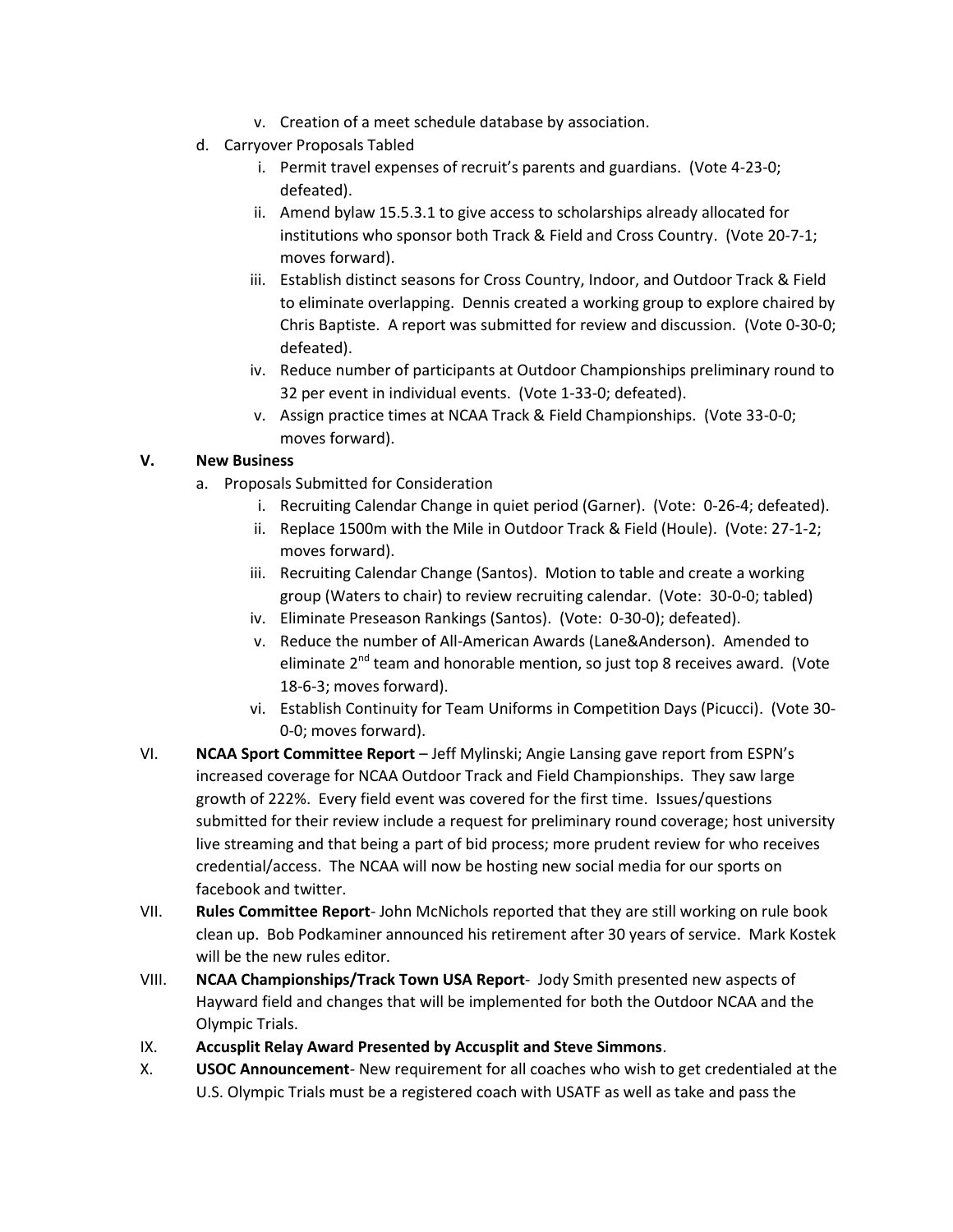- v. Creation of a meet schedule database by association.
- d. Carryover Proposals Tabled
	- i. Permit travel expenses of recruit's parents and guardians. (Vote 4-23-0; defeated).
	- ii. Amend bylaw 15.5.3.1 to give access to scholarships already allocated for institutions who sponsor both Track & Field and Cross Country. (Vote 20-7-1; moves forward).
	- iii. Establish distinct seasons for Cross Country, Indoor, and Outdoor Track & Field to eliminate overlapping. Dennis created a working group to explore chaired by Chris Baptiste. A report was submitted for review and discussion. (Vote 0-30-0; defeated).
	- iv. Reduce number of participants at Outdoor Championships preliminary round to 32 per event in individual events. (Vote 1-33-0; defeated).
	- v. Assign practice times at NCAA Track & Field Championships. (Vote 33-0-0; moves forward).

# **V. New Business**

- a. Proposals Submitted for Consideration
	- i. Recruiting Calendar Change in quiet period (Garner). (Vote: 0-26-4; defeated).
	- ii. Replace 1500m with the Mile in Outdoor Track & Field (Houle). (Vote: 27-1-2; moves forward).
	- iii. Recruiting Calendar Change (Santos). Motion to table and create a working group (Waters to chair) to review recruiting calendar. (Vote: 30-0-0; tabled)
	- iv. Eliminate Preseason Rankings (Santos). (Vote: 0-30-0); defeated).
	- v. Reduce the number of All-American Awards (Lane&Anderson). Amended to eliminate 2<sup>nd</sup> team and honorable mention, so just top 8 receives award. (Vote 18-6-3; moves forward).
	- vi. Establish Continuity for Team Uniforms in Competition Days (Picucci). (Vote 30- 0-0; moves forward).
- VI. **NCAA Sport Committee Report** Jeff Mylinski; Angie Lansing gave report from ESPN's increased coverage for NCAA Outdoor Track and Field Championships. They saw large growth of 222%. Every field event was covered for the first time. Issues/questions submitted for their review include a request for preliminary round coverage; host university live streaming and that being a part of bid process; more prudent review for who receives credential/access. The NCAA will now be hosting new social media for our sports on facebook and twitter.
- VII. **Rules Committee Report** John McNichols reported that they are still working on rule book clean up. Bob Podkaminer announced his retirement after 30 years of service. Mark Kostek will be the new rules editor.
- VIII. **NCAA Championships/Track Town USA Report** Jody Smith presented new aspects of Hayward field and changes that will be implemented for both the Outdoor NCAA and the Olympic Trials.
- IX. **Accusplit Relay Award Presented by Accusplit and Steve Simmons**.
- X. **USOC Announcement** New requirement for all coaches who wish to get credentialed at the U.S. Olympic Trials must be a registered coach with USATF as well as take and pass the